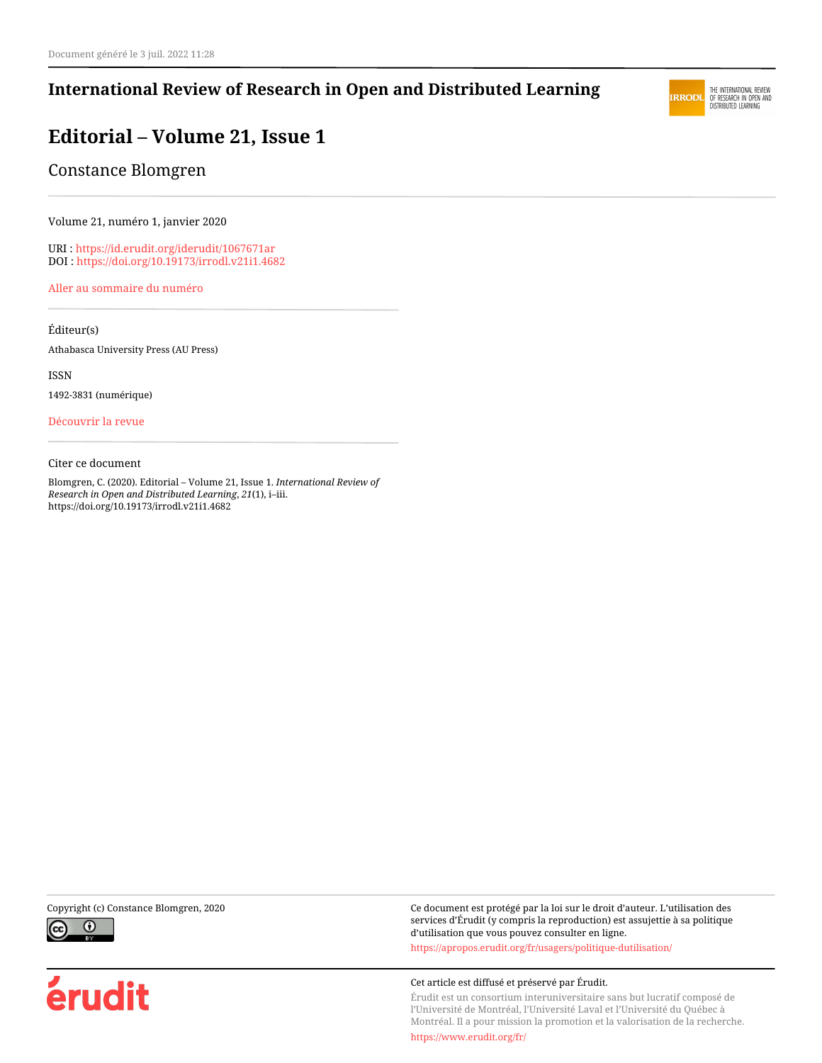### **International Review of Research in Open and Distributed Learning**



## **Editorial – Volume 21, Issue 1**

Constance Blomgren

Volume 21, numéro 1, janvier 2020

URI :<https://id.erudit.org/iderudit/1067671ar> DOI :<https://doi.org/10.19173/irrodl.v21i1.4682>

[Aller au sommaire du numéro](https://www.erudit.org/fr/revues/irrodl/2020-v21-n1-irrodl05137/)

Éditeur(s)

Athabasca University Press (AU Press)

ISSN

1492-3831 (numérique)

[Découvrir la revue](https://www.erudit.org/fr/revues/irrodl/)

#### Citer ce document

Blomgren, C. (2020). Editorial – Volume 21, Issue 1. *International Review of Research in Open and Distributed Learning*, *21*(1), i–iii. https://doi.org/10.19173/irrodl.v21i1.4682



érudit

Copyright (c) Constance Blomgren, 2020 Ce document est protégé par la loi sur le droit d'auteur. L'utilisation des services d'Érudit (y compris la reproduction) est assujettie à sa politique d'utilisation que vous pouvez consulter en ligne.

<https://apropos.erudit.org/fr/usagers/politique-dutilisation/>

#### Cet article est diffusé et préservé par Érudit.

Érudit est un consortium interuniversitaire sans but lucratif composé de l'Université de Montréal, l'Université Laval et l'Université du Québec à Montréal. Il a pour mission la promotion et la valorisation de la recherche.

<https://www.erudit.org/fr/>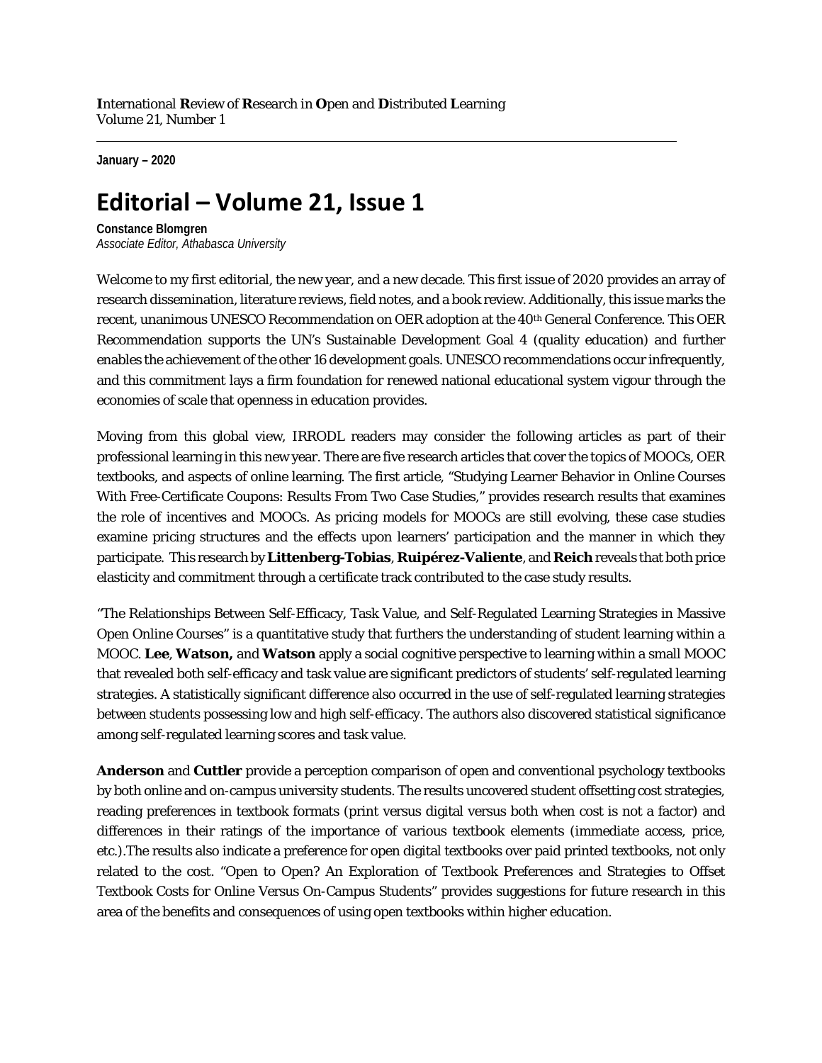**January – 2020**

# **Editorial – Volume 21, Issue 1**

**Constance Blomgren** *Associate Editor, Athabasca University*

Welcome to my first editorial, the new year, and a new decade. This first issue of 2020 provides an array of research dissemination, literature reviews, field notes, and a book review. Additionally, this issue marks the recent, unanimous UNESCO Recommendation on OER adoption at the 40th General Conference. This OER Recommendation supports the UN's Sustainable Development Goal 4 (quality education) and further enables the achievement of the other 16 development goals. UNESCO recommendations occur infrequently, and this commitment lays a firm foundation for renewed national educational system vigour through the economies of scale that openness in education provides.

Moving from this global view, IRRODL readers may consider the following articles as part of their professional learning in this new year. There are five research articles that cover the topics of MOOCs, OER textbooks, and aspects of online learning. The first article, "Studying Learner Behavior in Online Courses With Free-Certificate Coupons: Results From Two Case Studies," provides research results that examines the role of incentives and MOOCs. As pricing models for MOOCs are still evolving, these case studies examine pricing structures and the effects upon learners' participation and the manner in which they participate. This research by **Littenberg-Tobias**, **Ruipérez-Valiente**, and **Reich** reveals that both price elasticity and commitment through a certificate track contributed to the case study results.

"The Relationships Between Self-Efficacy, Task Value, and Self-Regulated Learning Strategies in Massive Open Online Courses" is a quantitative study that furthers the understanding of student learning within a MOOC. **Lee**, **Watson,** and **Watson** apply a social cognitive perspective to learning within a small MOOC that revealed both self-efficacy and task value are significant predictors of students' self-regulated learning strategies. A statistically significant difference also occurred in the use of self-regulated learning strategies between students possessing low and high self-efficacy. The authors also discovered statistical significance among self-regulated learning scores and task value.

**Anderson** and **Cuttler** provide a perception comparison of open and conventional psychology textbooks by both online and on-campus university students. The results uncovered student offsetting cost strategies, reading preferences in textbook formats (print versus digital versus both when cost is not a factor) and differences in their ratings of the importance of various textbook elements (immediate access, price, etc.).The results also indicate a preference for open digital textbooks over paid printed textbooks, not only related to the cost. "Open to Open? An Exploration of Textbook Preferences and Strategies to Offset Textbook Costs for Online Versus On-Campus Students" provides suggestions for future research in this area of the benefits and consequences of using open textbooks within higher education.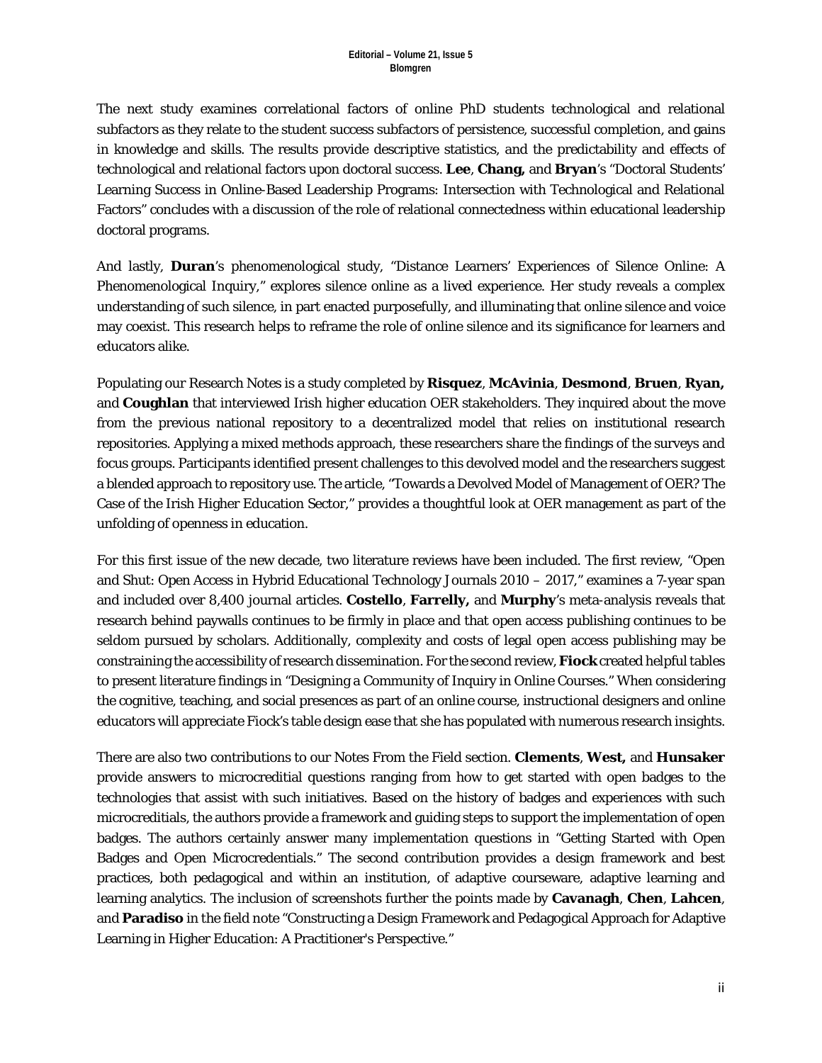The next study examines correlational factors of online PhD students technological and relational subfactors as they relate to the student success subfactors of persistence, successful completion, and gains in knowledge and skills. The results provide descriptive statistics, and the predictability and effects of technological and relational factors upon doctoral success. **Lee**, **Chang,** and **Bryan**'s "Doctoral Students' Learning Success in Online-Based Leadership Programs: Intersection with Technological and Relational Factors" concludes with a discussion of the role of relational connectedness within educational leadership doctoral programs.

And lastly, **Duran**'s phenomenological study, "Distance Learners' Experiences of Silence Online: A Phenomenological Inquiry," explores silence online as a lived experience. Her study reveals a complex understanding of such silence, in part enacted purposefully, and illuminating that online silence and voice may coexist. This research helps to reframe the role of online silence and its significance for learners and educators alike.

Populating our Research Notes is a study completed by **Risquez**, **McAvinia**, **Desmond**, **Bruen**, **Ryan,** and **Coughlan** that interviewed Irish higher education OER stakeholders. They inquired about the move from the previous national repository to a decentralized model that relies on institutional research repositories. Applying a mixed methods approach, these researchers share the findings of the surveys and focus groups. Participants identified present challenges to this devolved model and the researchers suggest a blended approach to repository use. The article, "Towards a Devolved Model of Management of OER? The Case of the Irish Higher Education Sector," provides a thoughtful look at OER management as part of the unfolding of openness in education.

For this first issue of the new decade, two literature reviews have been included. The first review, "Open and Shut: Open Access in Hybrid Educational Technology Journals 2010 – 2017," examines a 7-year span and included over 8,400 journal articles. **Costello**, **Farrelly,** and **Murphy**'s meta-analysis reveals that research behind paywalls continues to be firmly in place and that open access publishing continues to be seldom pursued by scholars. Additionally, complexity and costs of legal open access publishing may be constraining the accessibility of research dissemination. For the second review, **Fiock** created helpful tables to present literature findings in "Designing a Community of Inquiry in Online Courses." When considering the cognitive, teaching, and social presences as part of an online course, instructional designers and online educators will appreciate Fiock's table design ease that she has populated with numerous research insights.

There are also two contributions to our Notes From the Field section. **Clements**, **West,** and **Hunsaker** provide answers to microcreditial questions ranging from how to get started with open badges to the technologies that assist with such initiatives. Based on the history of badges and experiences with such microcreditials, the authors provide a framework and guiding steps to support the implementation of open badges. The authors certainly answer many implementation questions in "Getting Started with Open Badges and Open Microcredentials." The second contribution provides a design framework and best practices, both pedagogical and within an institution, of adaptive courseware, adaptive learning and learning analytics. The inclusion of screenshots further the points made by **Cavanagh**, **Chen**, **Lahcen**, and **Paradiso** in the field note "Constructing a Design Framework and Pedagogical Approach for Adaptive Learning in Higher Education: A Practitioner's Perspective."